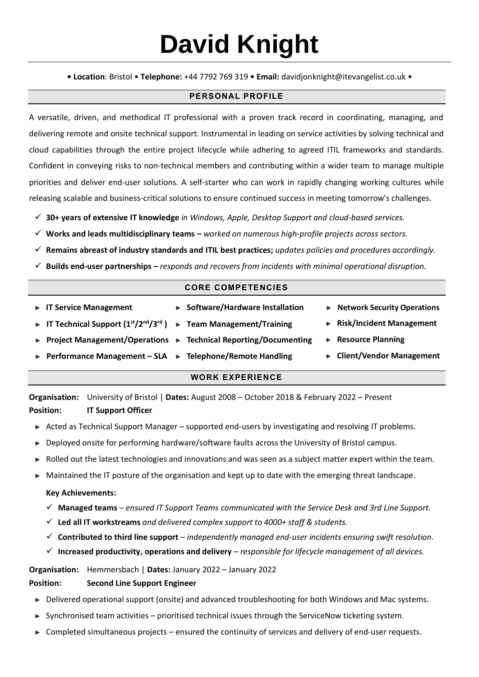# **David Knight**

**• Location**: Bristol • **Telephone:** +44 7792 769 319 **• Email:** [davidjonknight@itevangelist.co.uk](mailto:davidjonknight@itevangelist.co.uk) •

## **PERSONAL PROFILE**

A versatile, driven, and methodical IT professional with a proven track record in coordinating, managing, and delivering remote and onsite technical support. Instrumental in leading on service activities by solving technical and cloud capabilities through the entire project lifecycle while adhering to agreed ITIL frameworks and standards. Confident in conveying risks to non-technical members and contributing within a wider team to manage multiple priorities and deliver end-user solutions. A self-starter who can work in rapidly changing working cultures while releasing scalable and business-critical solutions to ensure continued success in meeting tomorrow's challenges.

- ✓ **30+ years of extensive IT knowledge** *in Windows, Apple, Desktop Support and cloud-based services.*
- ✓ **Works and leads multidisciplinary teams** *– worked on numerous high-profile projects across sectors.*
- ✓ **Remains abreast of industry standards and ITIL best practices;** *updates policies and procedures accordingly.*
- ✓ **Builds end-user partnerships** *– responds and recovers from incidents with minimal operational disruption.*

### **CORE COMPETENCIES**

| $\triangleright$ IT Service Management<br><b>Fig. 17 Technical Support <math>(1^{st}/2^{nd}/3^{rd})</math></b> | ▶ Software/Hardware Installation<br>▶ Team Management/Training<br>▶ Project Management/Operations ▶ Technical Reporting/Documenting<br>► Performance Management – SLA ► Telephone/Remote Handling | $\triangleright$ Network Security Operations<br>$\triangleright$ Risk/Incident Management<br>$\triangleright$ Resource Planning<br>► Client/Vendor Management |  |
|----------------------------------------------------------------------------------------------------------------|---------------------------------------------------------------------------------------------------------------------------------------------------------------------------------------------------|---------------------------------------------------------------------------------------------------------------------------------------------------------------|--|
|                                                                                                                | <b>WORK EXPERIENCE</b>                                                                                                                                                                            |                                                                                                                                                               |  |

**Organisation:** University of Bristol | **Dates:** August 2008 – October 2018 & February 2022 – Present **Position: IT Support Officer**

- ► Acted as Technical Support Manager supported end-users by investigating and resolving IT problems.
- ► Deployed onsite for performing hardware/software faults across the University of Bristol campus.
- ► Rolled out the latest technologies and innovations and was seen as a subject matter expert within the team.
- ► Maintained the IT posture of the organisation and kept up to date with the emerging threat landscape.

#### **Key Achievements:**

- ✓ **Managed teams** *– ensured IT Support Teams communicated with the Service Desk and 3rd Line Support.*
- ✓ **Led all IT workstreams** *and delivered complex support to 4000+ staff & students.*
- ✓ **Contributed to third line support** *independently managed end-user incidents ensuring swift resolution.*
- ✓ **Increased productivity, operations and delivery** *– responsible for lifecycle management of all devices.*

**Organisation:** Hemmersbach | **Dates:** January 2022 – January 2022

## **Position: Second Line Support Engineer**

- ► Delivered operational support (onsite) and advanced troubleshooting for both Windows and Mac systems.
- Synchronised team activities prioritised technical issues through the ServiceNow ticketing system.
- ► Completed simultaneous projects ensured the continuity of services and delivery of end-user requests.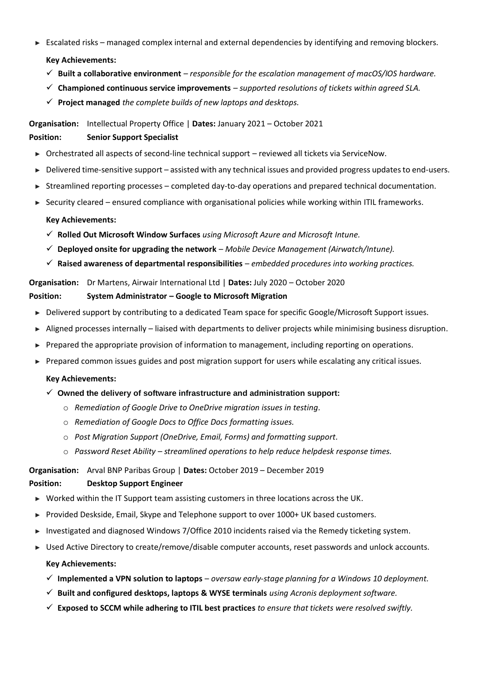- ► Escalated risks managed complex internal and external dependencies by identifying and removing blockers. **Key Achievements:**
	- ✓ **Built a collaborative environment** *– responsible for the escalation management of macOS/IOS hardware.*
	- ✓ **Championed continuous service improvements** *– supported resolutions of tickets within agreed SLA.*
	- ✓ **Project managed** *the complete builds of new laptops and desktops.*

**Organisation:** Intellectual Property Office | **Dates:** January 2021 – October 2021

## **Position: Senior Support Specialist**

- ► Orchestrated all aspects of second-line technical support reviewed all tickets via ServiceNow.
- ► Delivered time-sensitive support assisted with any technical issues and provided progress updates to end-users.
- ► Streamlined reporting processes completed day-to-day operations and prepared technical documentation.
- ► Security cleared ensured compliance with organisational policies while working within ITIL frameworks.

## **Key Achievements:**

- ✓ **Rolled Out Microsoft Window Surfaces** *using Microsoft Azure and Microsoft Intune.*
- ✓ **Deployed onsite for upgrading the network** *Mobile Device Management (Airwatch/Intune).*
- ✓ **Raised awareness of departmental responsibilities** *embedded procedures into working practices.*

#### **Organisation:** Dr Martens, Airwair International Ltd | **Dates:** July 2020 – October 2020

## **Position: System Administrator – Google to Microsoft Migration**

- ► Delivered support by contributing to a dedicated Team space for specific Google/Microsoft Support issues.
- ► Aligned processes internally liaised with departments to deliver projects while minimising business disruption.
- ► Prepared the appropriate provision of information to management, including reporting on operations.
- ► Prepared common issues guides and post migration support for users while escalating any critical issues.

#### **Key Achievements:**

## ✓ **Owned the delivery of software infrastructure and administration support:**

- o *Remediation of Google Drive to OneDrive migration issues in testing.*
- o *Remediation of Google Docs to Office Docs formatting issues.*
- o *Post Migration Support (OneDrive, Email, Forms) and formatting support.*
- o *Password Reset Ability – streamlined operations to help reduce helpdesk response times.*

#### **Organisation:** Arval BNP Paribas Group | **Dates:** October 2019 – December 2019

## **Position: Desktop Support Engineer**

- ► Worked within the IT Support team assisting customers in three locations across the UK.
- ► Provided Deskside, Email, Skype and Telephone support to over 1000+ UK based customers.
- ► Investigated and diagnosed Windows 7/Office 2010 incidents raised via the Remedy ticketing system.
- ► Used Active Directory to create/remove/disable computer accounts, reset passwords and unlock accounts.

## **Key Achievements:**

- ✓ **Implemented a VPN solution to laptops** *oversaw early-stage planning for a Windows 10 deployment.*
- ✓ **Built and configured desktops, laptops & WYSE terminals** *using Acronis deployment software.*
- ✓ **Exposed to SCCM while adhering to ITIL best practices** *to ensure that tickets were resolved swiftly.*